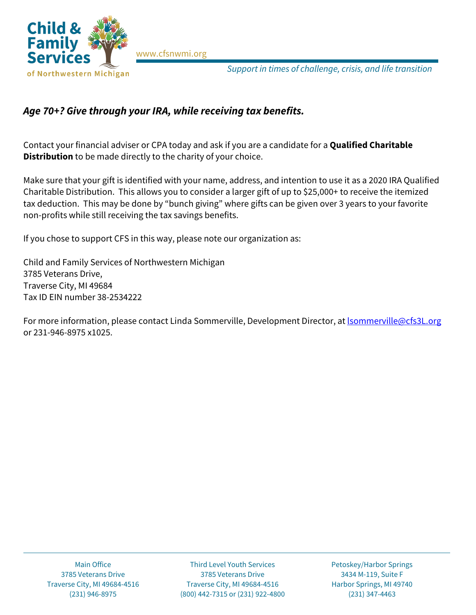

[www.cfsnwmi.org](http://www.cfsnwmi.org/)

*Support in times of challenge, crisis, and life transition*

## *Age 70+? Give through your IRA, while receiving tax benefits.*

Contact your financial adviser or CPA today and ask if you are a candidate for a **Qualified Charitable Distribution** to be made directly to the charity of your choice.

Make sure that your gift is identified with your name, address, and intention to use it as a 2020 IRA Qualified Charitable Distribution. This allows you to consider a larger gift of up to \$25,000+ to receive the itemized tax deduction. This may be done by "bunch giving" where gifts can be given over 3 years to your favorite non-profits while still receiving the tax savings benefits.

If you chose to support CFS in this way, please note our organization as:

Child and Family Services of Northwestern Michigan 3785 Veterans Drive, Traverse City, MI 49684 Tax ID EIN number 38-2534222

For more information, please contact Linda Sommerville, Development Director, a[t lsommerville@cfs3L.org](mailto:lsommerville@cfs3L.org) or 231-946-8975 x1025.

Main Office Third Level Youth Services Petoskey/Harbor Springs 3785 Veterans Drive 3785 Veterans Drive 3434 M-119, Suite F Traverse City, MI 49684-4516 Traverse City, MI 49684-4516 Harbor Springs, MI 49740 (231) 946-8975 (800) 442-7315 or (231) 922-4800 (231) 347-4463